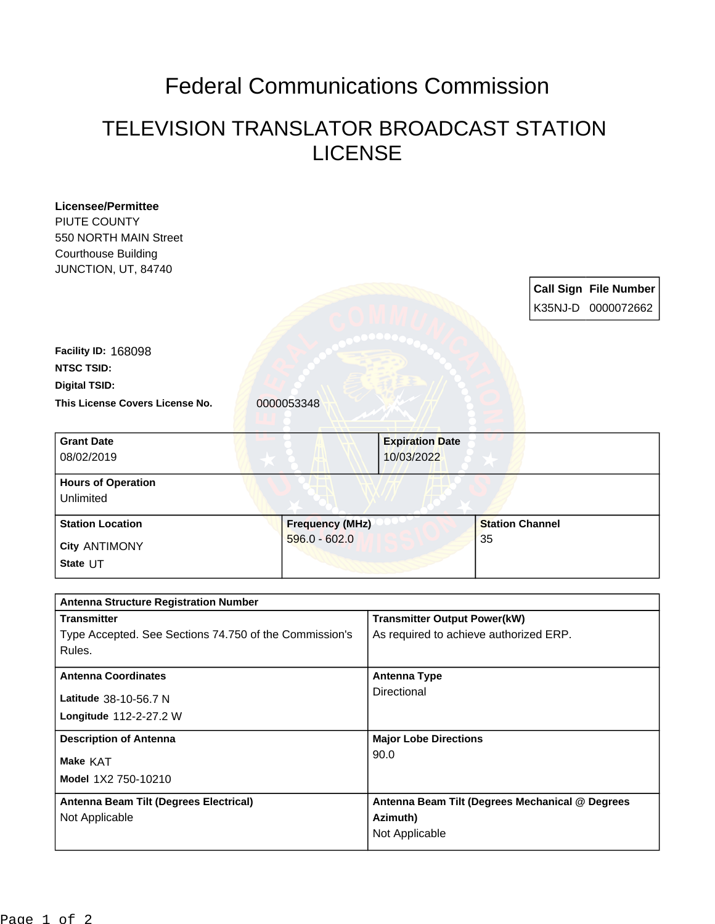## Federal Communications Commission

## TELEVISION TRANSLATOR BROADCAST STATION LICENSE